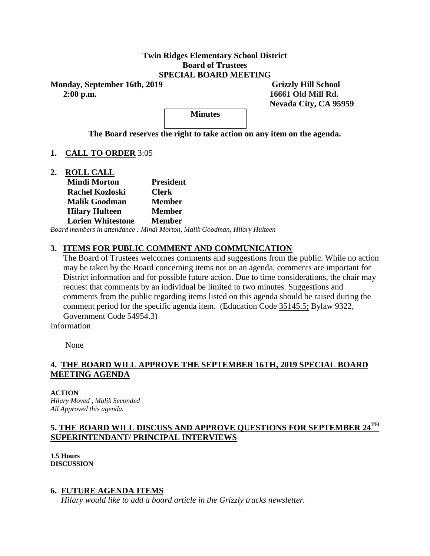### **Twin Ridges Elementary School District Board of Trustees SPECIAL BOARD MEETING**

**Monday, September 16th, 2019** Grizzly Hill School  **2:00 p.m. 16661 Old Mill Rd.**

 **Nevada City, CA 95959**

**Minutes** 

**The Board reserves the right to take action on any item on the agenda.**

## **1. CALL TO ORDER** 3:05

**2. ROLL CALL Mindi Morton President Rachel Kozloski Clerk Malik Goodman Member Hilary Hulteen Member Lorien Whitestone Member** 

*Board members in attendance : Mindi Morton, Malik Goodman, Hilary Hulteen*

## **3. ITEMS FOR PUBLIC COMMENT AND COMMUNICATION**

The Board of Trustees welcomes comments and suggestions from the public. While no action may be taken by the Board concerning items not on an agenda, comments are important for District information and for possible future action. Due to time considerations, the chair may request that comments by an individual be limited to two minutes. Suggestions and comments from the public regarding items listed on this agenda should be raised during the comment period for the specific agenda item. (Education Code 35145.5; Bylaw 9322, Government Code 54954.3)

Information

None

# **4. THE BOARD WILL APPROVE THE SEPTEMBER 16TH, 2019 SPECIAL BOARD MEETING AGENDA**

**ACTION** *Hilary Moved , Malik Seconded All Approved this agenda.* 

# **5. THE BOARD WILL DISCUSS AND APPROVE QUESTIONS FOR SEPTEMBER 24TH SUPERINTENDANT/ PRINCIPAL INTERVIEWS**

**1.5 Hours DISCUSSION**

### **6. FUTURE AGENDA ITEMS**

*Hilary would like to add a board article in the Grizzly tracks newsletter.*